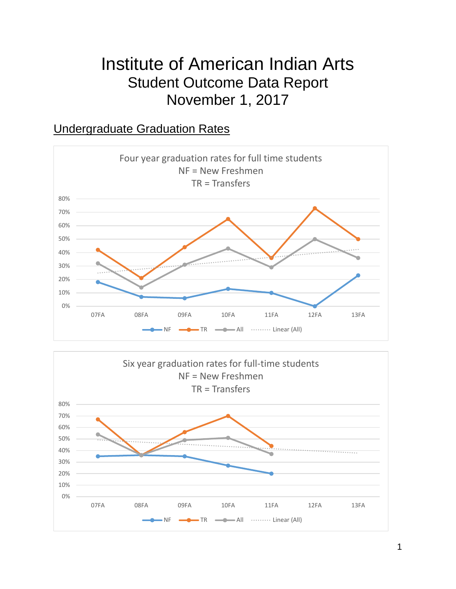# Institute of American Indian Arts Student Outcome Data Report November 1, 2017

### Undergraduate Graduation Rates



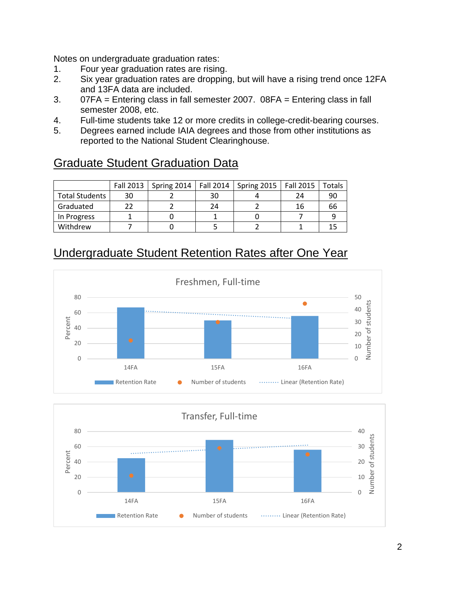Notes on undergraduate graduation rates:

- 1. Four year graduation rates are rising.
- 2. Six year graduation rates are dropping, but will have a rising trend once 12FA and 13FA data are included.
- 3. 07FA = Entering class in fall semester 2007. 08FA = Entering class in fall semester 2008, etc.
- 4. Full-time students take 12 or more credits in college-credit-bearing courses.
- 5. Degrees earned include IAIA degrees and those from other institutions as reported to the National Student Clearinghouse.

# Graduate Student Graduation Data

|                       |    | Fall 2013   Spring 2014 | Fall 2014 | Spring 2015   Fall 2015 |    | Totals |
|-----------------------|----|-------------------------|-----------|-------------------------|----|--------|
| <b>Total Students</b> | 30 |                         | 30        |                         | 24 | 90     |
| Graduated             |    |                         | 24        |                         | 16 | 66     |
| In Progress           |    |                         |           |                         |    |        |
| Withdrew              |    |                         |           |                         |    |        |

# Undergraduate Student Retention Rates after One Year



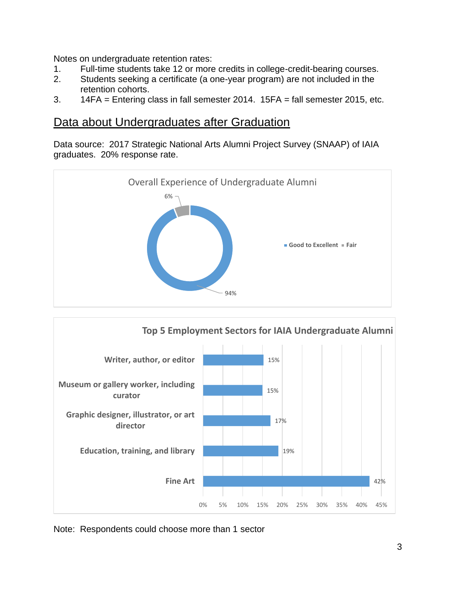Notes on undergraduate retention rates:

- 1. Full-time students take 12 or more credits in college-credit-bearing courses.
- 2. Students seeking a certificate (a one-year program) are not included in the retention cohorts.
- 3. 14FA = Entering class in fall semester 2014. 15FA = fall semester 2015, etc.

#### Data about Undergraduates after Graduation

Data source: 2017 Strategic National Arts Alumni Project Survey (SNAAP) of IAIA graduates. 20% response rate.





Note: Respondents could choose more than 1 sector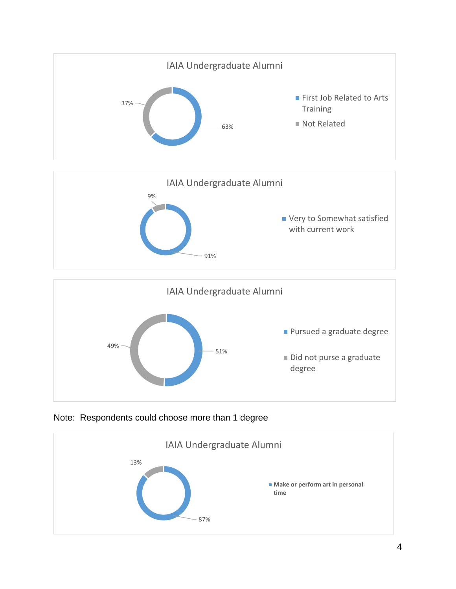

Note: Respondents could choose more than 1 degree

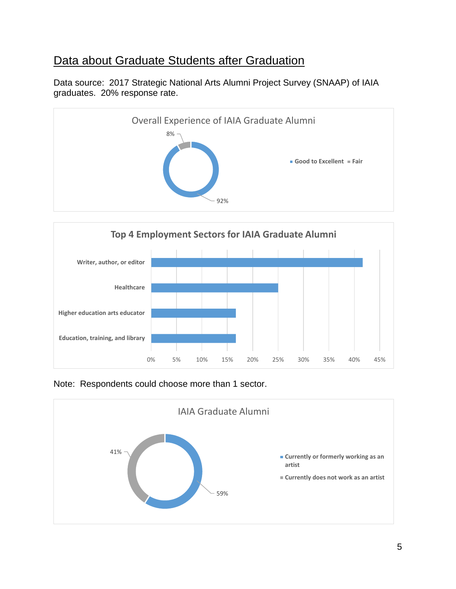# Data about Graduate Students after Graduation

Data source: 2017 Strategic National Arts Alumni Project Survey (SNAAP) of IAIA graduates. 20% response rate.





Note: Respondents could choose more than 1 sector.